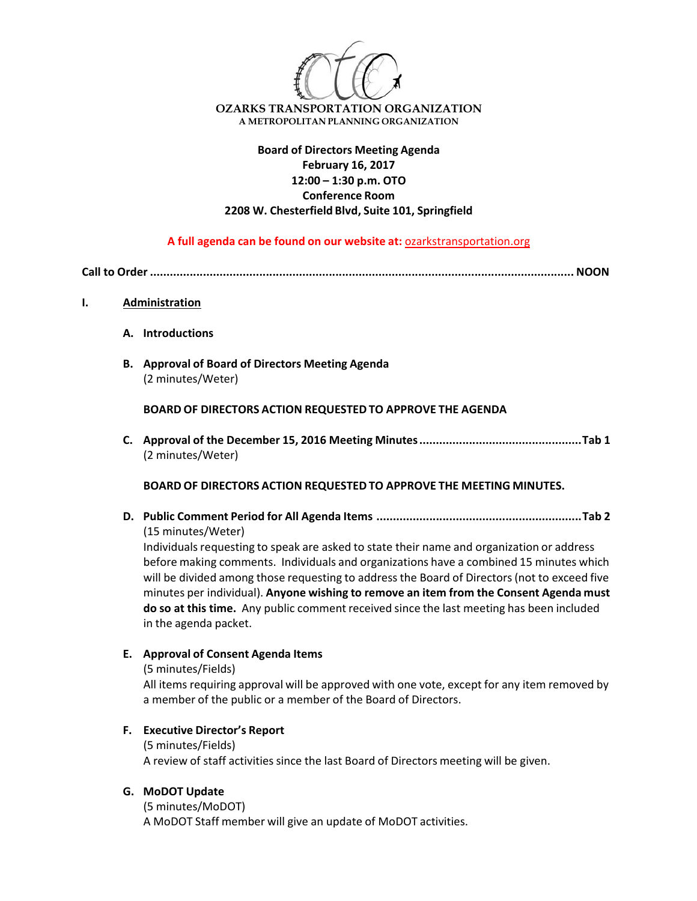

## **Board of Directors Meeting Agenda February 16, 2017 12:00 – 1:30 p.m. OTO Conference Room 2208 W. Chesterfield Blvd, Suite 101, Springfield**

**A full agenda can be found on our website at:** ozarkstransportation.org

**Call to Order ................................................................................................................................ NOON**

#### **I. Administration**

- **A. Introductions**
- **B. Approval of Board of Directors Meeting Agenda** (2 minutes/Weter)

**BOARD OF DIRECTORS ACTION REQUESTED TO APPROVE THE AGENDA**

**C. Approval of the December 15, 2016 Meeting Minutes.................................................Tab 1** (2 minutes/Weter)

### **BOARD OF DIRECTORS ACTION REQUESTED TO APPROVE THE MEETING MINUTES.**

**D. Public Comment Period for All Agenda Items ..............................................................Tab 2** (15 minutes/Weter)

Individuals requesting to speak are asked to state their name and organization or address before making comments. Individuals and organizations have a combined 15 minutes which will be divided among those requesting to addressthe Board of Directors(not to exceed five minutes per individual). **Anyone wishing to remove an item from the Consent Agenda must do so at this time.** Any public comment received since the last meeting has been included in the agenda packet.

### **E. Approval of Consent Agenda Items**

(5 minutes/Fields)

All items requiring approval will be approved with one vote, except for any item removed by a member of the public or a member of the Board of Directors.

### **F. Executive Director's Report**

(5 minutes/Fields) A review of staff activitiessince the last Board of Directors meeting will be given.

### **G. MoDOT Update**

(5 minutes/MoDOT) A MoDOT Staff member will give an update of MoDOT activities.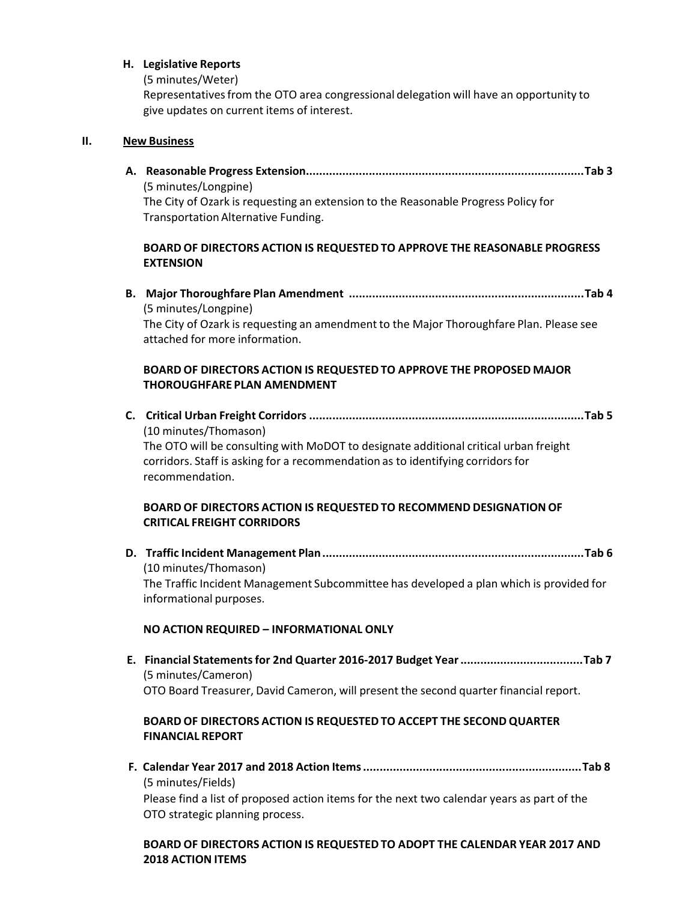#### **H. Legislative Reports**

(5 minutes/Weter)

Representativesfrom the OTO area congressional delegation will have an opportunity to give updates on current items of interest.

#### **II. New Business**

**A. Reasonable Progress Extension....................................................................................Tab 3** (5 minutes/Longpine) The City of Ozark is requesting an extension to the Reasonable Progress Policy for Transportation Alternative Funding.

### **BOARD OF DIRECTORS ACTION IS REQUESTED TO APPROVE THE REASONABLE PROGRESS EXTENSION**

**B. Major Thoroughfare Plan Amendment .......................................................................Tab 4** (5 minutes/Longpine)

The City of Ozark is requesting an amendment to the Major Thoroughfare Plan. Please see attached for more information.

### **BOARD OF DIRECTORS ACTION IS REQUESTED TO APPROVE THE PROPOSED MAJOR THOROUGHFARE PLAN AMENDMENT**

**C. Critical Urban Freight Corridors ...................................................................................Tab 5** (10 minutes/Thomason)

The OTO will be consulting with MoDOT to designate additional critical urban freight corridors. Staff is asking for a recommendation as to identifying corridors for recommendation.

### **BOARD OF DIRECTORS ACTION IS REQUESTED TO RECOMMEND DESIGNATIONOF CRITICAL FREIGHT CORRIDORS**

**D. Traffic Incident Management Plan...............................................................................Tab 6** (10 minutes/Thomason) The Traffic Incident Management Subcommittee has developed a plan which is provided for informational purposes.

### **NO ACTION REQUIRED – INFORMATIONAL ONLY**

**E. Financial Statementsfor 2nd Quarter 2016‐2017 Budget Year.....................................Tab 7** (5 minutes/Cameron) OTO Board Treasurer, David Cameron, will present the second quarter financial report.

# **BOARD OF DIRECTORS ACTION IS REQUESTED TO ACCEPT THE SECOND QUARTER FINANCIAL REPORT**

**F. Calendar Year 2017 and 2018 Action Items..................................................................Tab 8** (5 minutes/Fields) Please find a list of proposed action items for the next two calendar years as part of the OTO strategic planning process.

### **BOARD OF DIRECTORS ACTION IS REQUESTED TO ADOPT THE CALENDAR YEAR 2017 AND 2018 ACTION ITEMS**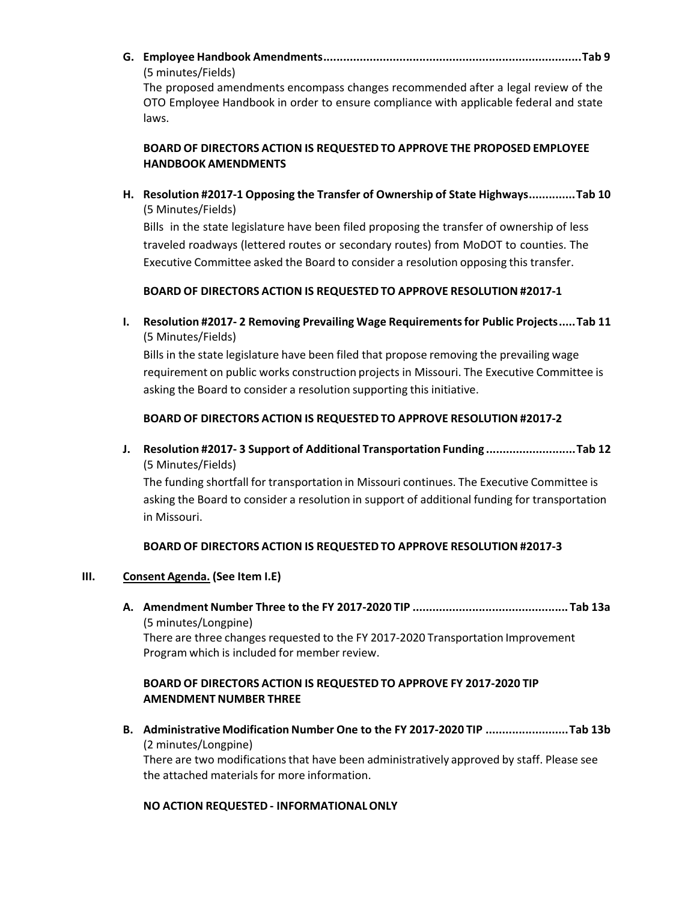**G. Employee Handbook Amendments..............................................................................Tab 9** (5 minutes/Fields)

The proposed amendments encompass changes recommended after a legal review of the OTO Employee Handbook in order to ensure compliance with applicable federal and state laws.

## **BOARD OF DIRECTORS ACTION IS REQUESTED TO APPROVE THE PROPOSED EMPLOYEE HANDBOOK AMENDMENTS**

**H. Resolution #2017‐1 Opposing the Transfer of Ownership of State Highways..............Tab 10** (5 Minutes/Fields)

Bills in the state legislature have been filed proposing the transfer of ownership of less traveled roadways (lettered routes or secondary routes) from MoDOT to counties. The Executive Committee asked the Board to consider a resolution opposing this transfer.

### **BOARD OF DIRECTORS ACTION IS REQUESTED TO APPROVE RESOLUTION #2017‐1**

**I. Resolution #2017‐ 2 Removing Prevailing Wage Requirementsfor Public Projects.....Tab 11** (5 Minutes/Fields)

Bills in the state legislature have been filed that propose removing the prevailing wage requirement on public works construction projects in Missouri. The Executive Committee is asking the Board to consider a resolution supporting this initiative.

### **BOARD OF DIRECTORS ACTION IS REQUESTED TO APPROVE RESOLUTION #2017‐2**

**J. Resolution #2017‐ 3 Support of Additional Transportation Funding ...........................Tab 12** (5 Minutes/Fields)

The funding shortfall for transportation in Missouri continues. The Executive Committee is asking the Board to consider a resolution in support of additional funding for transportation in Missouri.

### **BOARD OF DIRECTORS ACTION IS REQUESTED TO APPROVE RESOLUTION #2017‐3**

### **III. Consent Agenda. (See Item I.E)**

**A. Amendment Number Three to the FY 2017‐2020 TIP ............................................... Tab 13a** (5 minutes/Longpine) There are three changes requested to the FY 2017‐2020 Transportation Improvement Program which is included for member review.

# **BOARD OF DIRECTORS ACTION IS REQUESTED TO APPROVE FY 2017‐2020 TIP AMENDMENT NUMBER THREE**

**B. Administrative Modification Number One to the FY 2017‐2020 TIP .........................Tab 13b** (2 minutes/Longpine)

There are two modifications that have been administratively approved by staff. Please see the attached materials for more information.

### **NO ACTION REQUESTED ‐ INFORMATIONALONLY**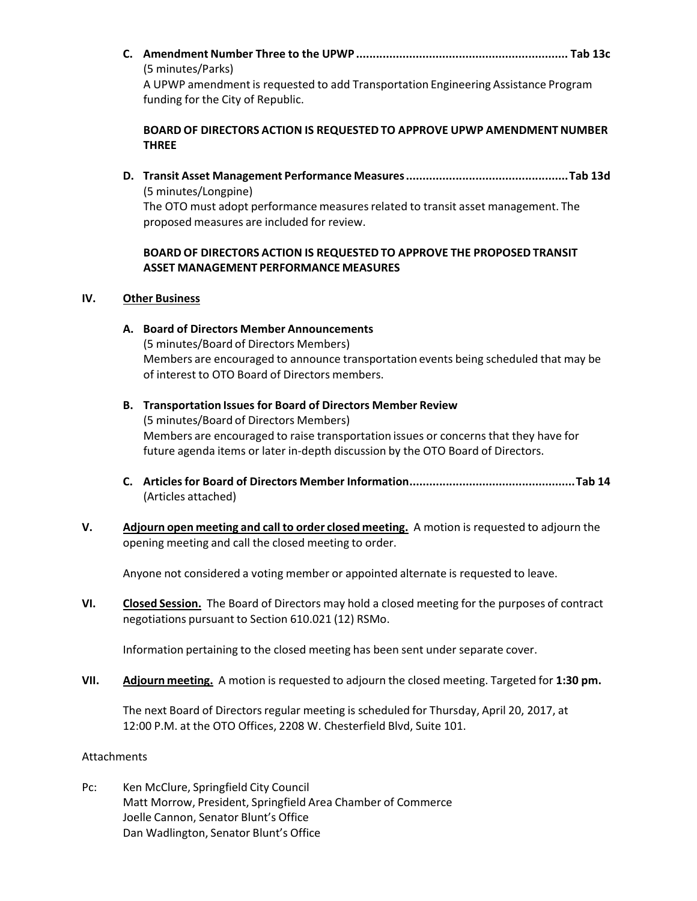**C. Amendment Number Three to the UPWP ................................................................ Tab 13c** (5 minutes/Parks) A UPWP amendment is requested to add Transportation Engineering Assistance Program

**BOARD OF DIRECTORS ACTION IS REQUESTED TO APPROVE UPWP AMENDMENT NUMBER THREE**

**D. Transit Asset Management Performance Measures.................................................Tab 13d** (5 minutes/Longpine) The OTO must adopt performance measures related to transit asset management. The proposed measures are included for review.

### **BOARD OF DIRECTORS ACTION IS REQUESTED TO APPROVE THE PROPOSED TRANSIT ASSET MANAGEMENT PERFORMANCE MEASURES**

### **IV. Other Business**

funding for the City of Republic.

- **A. Board of Directors Member Announcements** (5 minutes/Board of Directors Members) Members are encouraged to announce transportation events being scheduled that may be of interest to OTO Board of Directors members.
- **B. Transportation Issues for Board of Directors Member Review** (5 minutes/Board of Directors Members) Members are encouraged to raise transportation issues or concerns that they have for future agenda items or later in‐depth discussion by the OTO Board of Directors.
- **C. Articlesfor Board of Directors Member Information..................................................Tab 14** (Articles attached)
- **V. Adjourn open meeting and call to order closed meeting.** A motion is requested to adjourn the opening meeting and call the closed meeting to order.

Anyone not considered a voting member or appointed alternate is requested to leave.

**VI. Closed Session.** The Board of Directors may hold a closed meeting for the purposes of contract negotiations pursuant to Section 610.021 (12) RSMo.

Information pertaining to the closed meeting has been sent under separate cover.

**VII. Adjourn meeting.** A motion is requested to adjourn the closed meeting. Targeted for **1:30 pm.**

The next Board of Directors regular meeting is scheduled for Thursday, April 20, 2017, at 12:00 P.M. at the OTO Offices, 2208 W. Chesterfield Blvd, Suite 101.

### Attachments

Pc: Ken McClure, Springfield City Council Matt Morrow, President, Springfield Area Chamber of Commerce Joelle Cannon, Senator Blunt's Office Dan Wadlington, Senator Blunt's Office